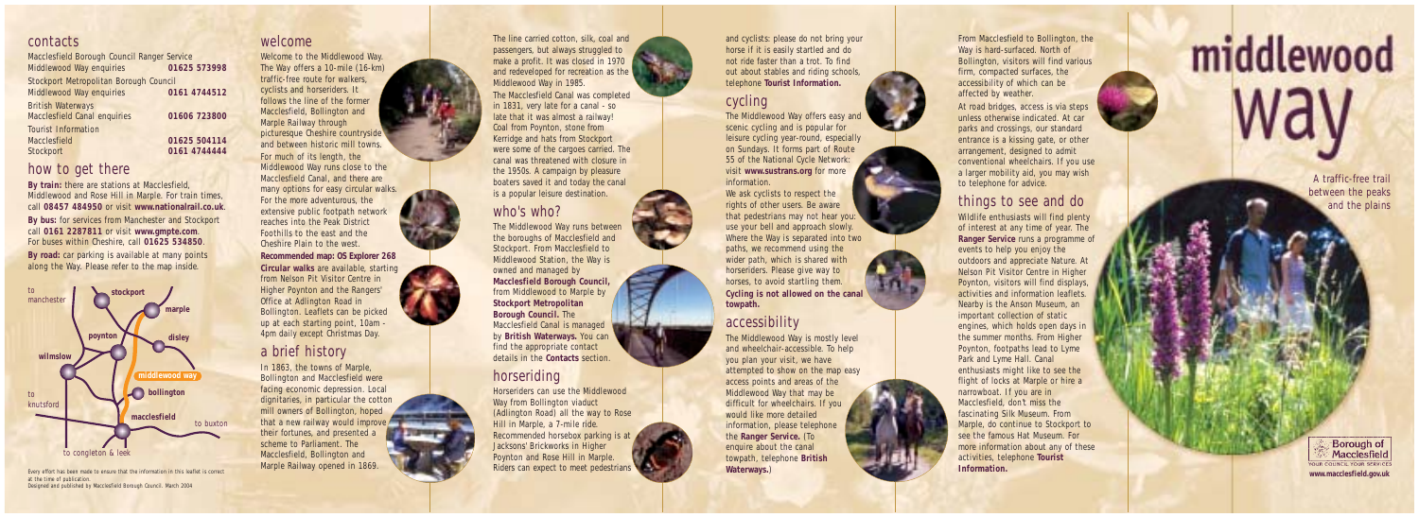contacts Macclesfield Borough Council Ran ger Service Mi ddlewood Way enquiries **01625 573998**  Stockport Metropolitan Borough Council Mi ddlewood Way enquiries **0161 4744512**  British Waterways Macclesfield Canal enquiries **01606 723800** Tourist Information Macclesfield **01625 504114**  Stockport **0161 4744444** 

### how to get there

**By train:** there are stations at Macclesfield, Mi ddlewood and Rose Hill in Marple. For train times, call **08457 484950** or visit **www.nationalrail.co.uk**.

By bus: for services from Manchester and Stockport call **0161 2287811** or visit **www.gmpte.com**. For buses within Cheshire , call **01625 534850**. By road: car parking is available at many points along the Wa y. Please refer to the m ap insi d e.



Every effort has been made to ensure that the information in this leaflet is correct at the time o f publication. Designed and published by Macclesfi eld Borough Council. Ma rch 2004

Welcome<br>Welcome to the Middlewood Way. The Way offers a 10-mile (16-km) traffic-free route for walkers, cyclists and horseri ders. It follows the line o f the former Macclesfield, Bollington and Marple Railway through picturesque Cheshire countrysi de and between historic mill town s. For m uch o f its length, the Mi ddlewood Way runs close to the Macclesfield Canal, and there are many options for easy circular walks. For the more adventurous, the extensive public footpath network reaches into the Peak District Foothills to the east and the Cheshire Plain to the west. **Recommended map: OS Explorer 268 Circular walks** are available , starting from Nelson Pit Visitor Centre in Higher Poynton and the Ran gers' Office at Adlington Road in Bollington. Leaflets can be picked up at each starting point, 10am -

# a brief history

In 1863, the towns o f Marple, Bollington and Macclesfield were facing economic depression. Local dignitaries, in particular the cotton mill owners o f Bollington, h oped that a new railway would improve their fortunes, and presented a scheme to Parliament. The Macclesfield, Bollington and Marple Railway opened in 1869.

4pm daily e xcept Christmas Day.

The line carried cotton, silk, coal and passen gers, but always struggled to m a k e a profit. I t was closed in 1970 and re developed for recreation as the Mi ddlewood Way in 1985. The Macclesfield Canal was completed in 1831, very late for a canal - so late that it was almost a railway! Coal from Poynton, stone from Ke r ridge a nd hats from Stockport were some o f the cargoes carried. The canal was threatened with closure in the 1950s. A campaign by pleasure boaters saved it and today the canal is a popular leisure destination.

who's who?<br>The Middlewood Way runs between the boroughs o f Macclesfield and Stockport. From Macclesfield to Mi ddlewood Station, the Way is owned and managed by **Macclesfield Borough Council,**  from Mi ddlewood to Marple by **Stockport Metropolitan Borough Council**. The<br>Macclesfield Canal is managed by **British Waterway s.**  You can find the appropriate contact details in the **Contacts** section. horseriding Horseriders can use the Middlewood Way from Bollington viaduct

(Adlington Road) all the way to Rose Hill in Marple, a 7-mile ride. Recomm e n ded horsebox parkin g is at Jacksons' Brickworks in Higher Poynton and Rose Hill in Marple. Riders can expect to meet pedestrians

and cyclists: please d o not bring your horse if it is easily startled and do not ride faster than a trot. To find out about stables and riding schools telephone **Tourist Information.** 

cycling<br>The Middlewood Way offers easy and scenic cycling and is popular for leisure cycling year-roun d , especially on Sun days. I t forms part o f Route 55 o f the N ational Cycle Network: visit www.sustrans.org for more information. We ask cyclists to respect the rights o f other users. Be aware that pedestrians may not hear you: use your bell and approach slowly. Where the Way is separated into two

path s , we recommend using the wi d er path, which is shared with horseri d ers. Please give way to horses, to avoid startling them. **Cycling is not allo wed on the canal towpath.** 

## accessibility

The Mi ddlewood Way is m ostly level and wheelchair-accessible. To help you plan your visit, we have attempted to show on the map easy access points and areas o f the Mi ddlewood Way that may be difficult for wheelchairs. If you would like m o re d etailed information, please telephone the **Ranger Service.** (To enquire about the canal towpath, telephone **British Waterways.**)

From Macclesfield to Bollin gton, the Way is hard-surfaced. North of Bollington, visitors will fin d various firm, compacted surfaces, the accessibility o f which can be affected by weather. At road bridges, access is via steps unless otherwise indicated. A t car

parks and crossings, our standard entrance is a kissing gate, or other arran g e m e n t, designed to admit conventional wheelchairs. If you use a larg er mobility ai d , you may wish to telephone for advice.

things to see and do Wildlife enthusiasts will find plenty of interest at any time of year. The **Ranger Service** run s a programme of events to help you enjoy the outdoors and appreciate Nature . At Nelson Pit Visitor Centre in Higher Poynton, visitors will find displays, activities and information leaflets. Nearby is the Anson Museum, an important collection o f static engines, which holds open days in the summer months. From Higher Poynton, footpaths lead to Lyme Park and Lyme Hall. Canal enthusiasts might like to see the flight o f locks at Marple or hire a narrowboat. If you are in Macclesfield, don't miss the<br>fascinating Silk Museum. From<br>Marple, do continue to Stockport to see the fa mous H at Museum. For m o re information about any o f these activities, teleph o ne **Tourist Information.** 

middlewood

A traffic-free trail between the peaks and the plains